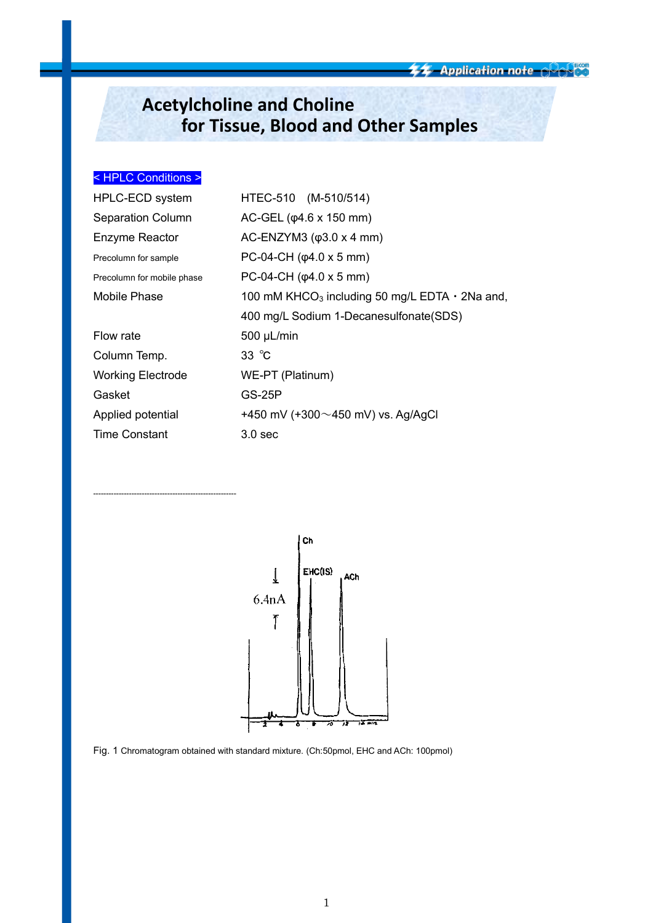**44 Application note - PAPES** 

# **Acetylcholine and Choline for Tissue, Blood and Other Samples**

## < HPLC Conditions >

--------------------------------------------------------

| HPLC-ECD system            | HTEC-510 (M-510/514)                                             |  |  |
|----------------------------|------------------------------------------------------------------|--|--|
| <b>Separation Column</b>   | $AC-GEL (φ4.6 x 150 mm)$                                         |  |  |
| Enzyme Reactor             | AC-ENZYM3 $(φ3.0 x 4 mm)$                                        |  |  |
| Precolumn for sample       | PC-04-CH $(\phi$ 4.0 x 5 mm)                                     |  |  |
| Precolumn for mobile phase | PC-04-CH $(\phi$ 4.0 x 5 mm)                                     |  |  |
| Mobile Phase               | 100 mM KHCO <sub>3</sub> including 50 mg/L EDTA $\cdot$ 2Na and, |  |  |
|                            | 400 mg/L Sodium 1-Decanesulfonate (SDS)                          |  |  |
| Flow rate                  | $500 \mu L/min$                                                  |  |  |
| Column Temp.               | $33^\circ \text{C}$                                              |  |  |
| <b>Working Electrode</b>   | WE-PT (Platinum)                                                 |  |  |
| Gasket                     | GS-25P                                                           |  |  |
| Applied potential          | +450 mV (+300 $\sim$ 450 mV) vs. Ag/AgCl                         |  |  |
| <b>Time Constant</b>       | 3.0 <sub>sec</sub>                                               |  |  |



Fig. 1 Chromatogram obtained with standard mixture. (Ch:50pmol, EHC and ACh: 100pmol)